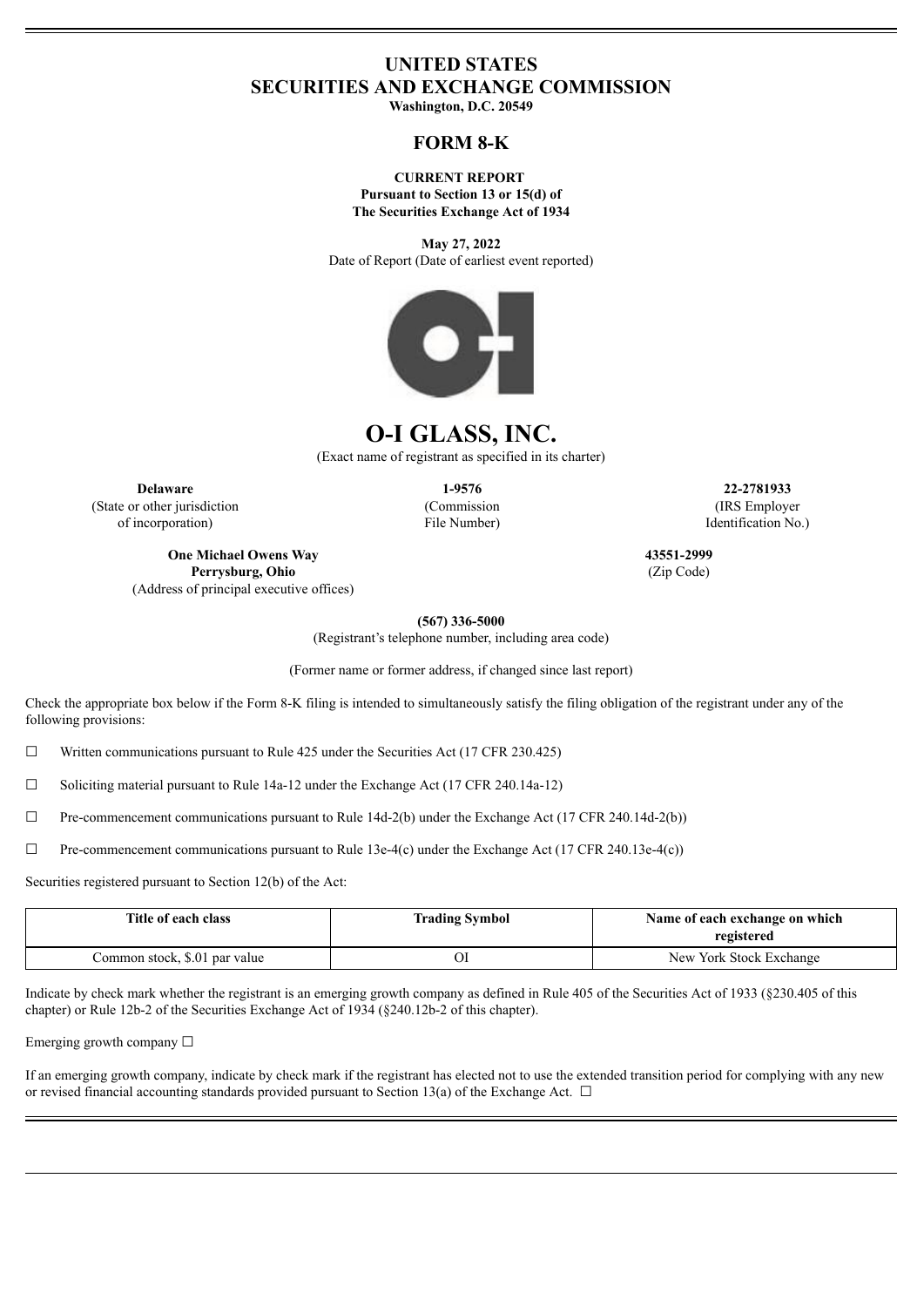# **UNITED STATES SECURITIES AND EXCHANGE COMMISSION**

**Washington, D.C. 20549**

# **FORM 8-K**

**CURRENT REPORT Pursuant to Section 13 or 15(d) of The Securities Exchange Act of 1934**

**May 27, 2022** Date of Report (Date of earliest event reported)



# **O-I GLASS, INC.**

(Exact name of registrant as specified in its charter)

**Delaware 1-9576 22-2781933** (State or other jurisdiction of incorporation)

(Commission File Number)

(IRS Employer Identification No.)

**One Michael Owens Way Perrysburg, Ohio** (Address of principal executive offices) **43551-2999** (Zip Code)

**(567) 336-5000**

(Registrant's telephone number, including area code)

(Former name or former address, if changed since last report)

Check the appropriate box below if the Form 8-K filing is intended to simultaneously satisfy the filing obligation of the registrant under any of the following provisions:

 $\Box$  Written communications pursuant to Rule 425 under the Securities Act (17 CFR 230.425)

 $\Box$  Soliciting material pursuant to Rule 14a-12 under the Exchange Act (17 CFR 240.14a-12)

 $\Box$  Pre-commencement communications pursuant to Rule 14d-2(b) under the Exchange Act (17 CFR 240.14d-2(b))

 $\Box$  Pre-commencement communications pursuant to Rule 13e-4(c) under the Exchange Act (17 CFR 240.13e-4(c))

Securities registered pursuant to Section 12(b) of the Act:

| Title of each class           | <b>Trading Symbol</b> | Name of each exchange on which<br>registered |
|-------------------------------|-----------------------|----------------------------------------------|
| Common stock, \$.01 par value |                       | New York Stock Exchange                      |

Indicate by check mark whether the registrant is an emerging growth company as defined in Rule 405 of the Securities Act of 1933 (§230.405 of this chapter) or Rule 12b-2 of the Securities Exchange Act of 1934 (§240.12b-2 of this chapter).

Emerging growth company ☐

If an emerging growth company, indicate by check mark if the registrant has elected not to use the extended transition period for complying with any new or revised financial accounting standards provided pursuant to Section 13(a) of the Exchange Act.  $\Box$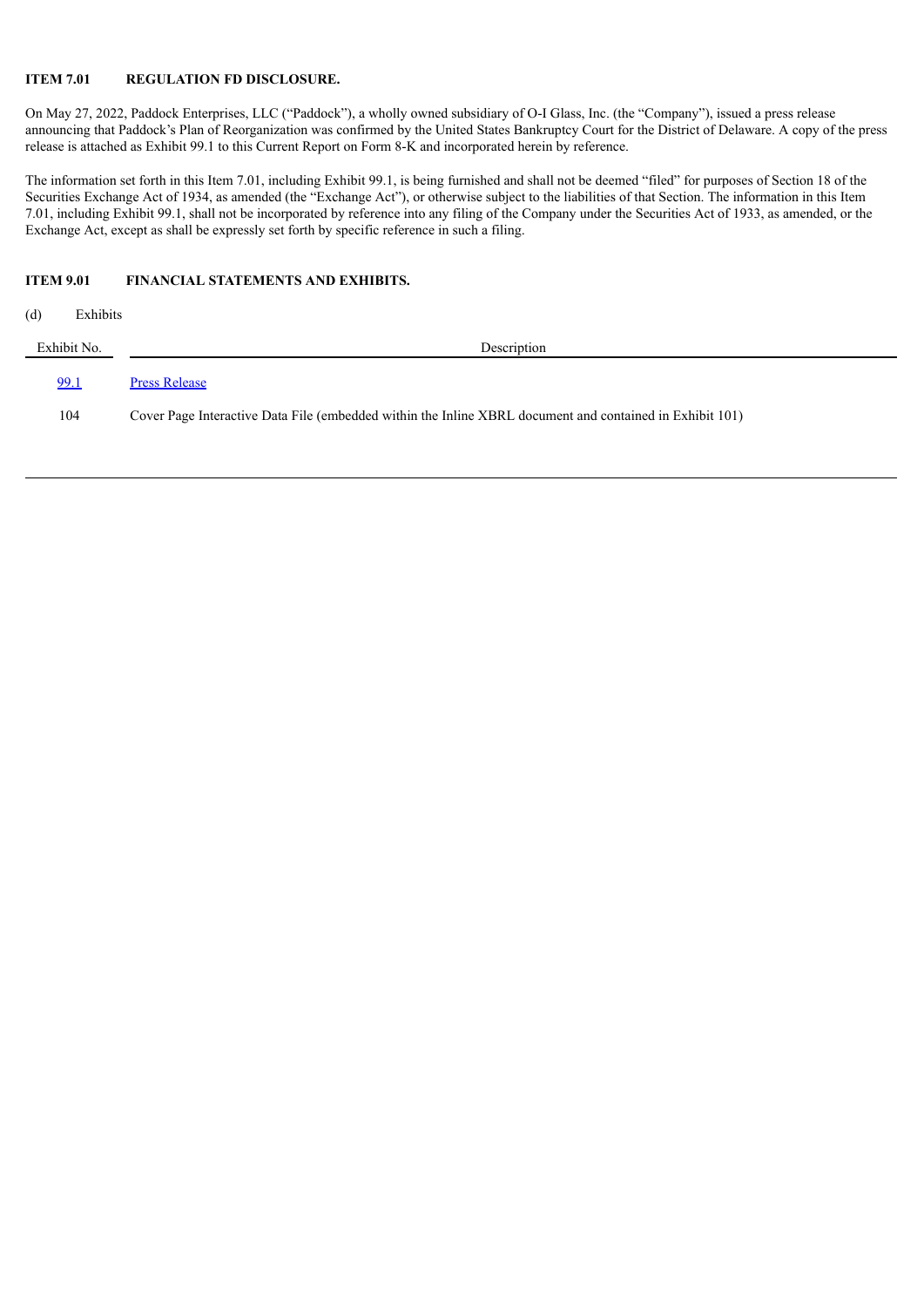#### **ITEM 7.01 REGULATION FD DISCLOSURE.**

On May 27, 2022, Paddock Enterprises, LLC ("Paddock"), a wholly owned subsidiary of O-I Glass, Inc. (the "Company"), issued a press release announcing that Paddock's Plan of Reorganization was confirmed by the United States Bankruptcy Court for the District of Delaware. A copy of the press release is attached as Exhibit 99.1 to this Current Report on Form 8-K and incorporated herein by reference.

The information set forth in this Item 7.01, including Exhibit 99.1, is being furnished and shall not be deemed "filed" for purposes of Section 18 of the Securities Exchange Act of 1934, as amended (the "Exchange Act"), or otherwise subject to the liabilities of that Section. The information in this Item 7.01, including Exhibit 99.1, shall not be incorporated by reference into any filing of the Company under the Securities Act of 1933, as amended, or the Exchange Act, except as shall be expressly set forth by specific reference in such a filing.

## **ITEM 9.01 FINANCIAL STATEMENTS AND EXHIBITS.**

| (d)         | Exhibits |                                                                                                          |
|-------------|----------|----------------------------------------------------------------------------------------------------------|
| Exhibit No. |          | Description                                                                                              |
| <u>99.1</u> |          | <b>Press Release</b>                                                                                     |
|             | 104      | Cover Page Interactive Data File (embedded within the Inline XBRL document and contained in Exhibit 101) |
|             |          |                                                                                                          |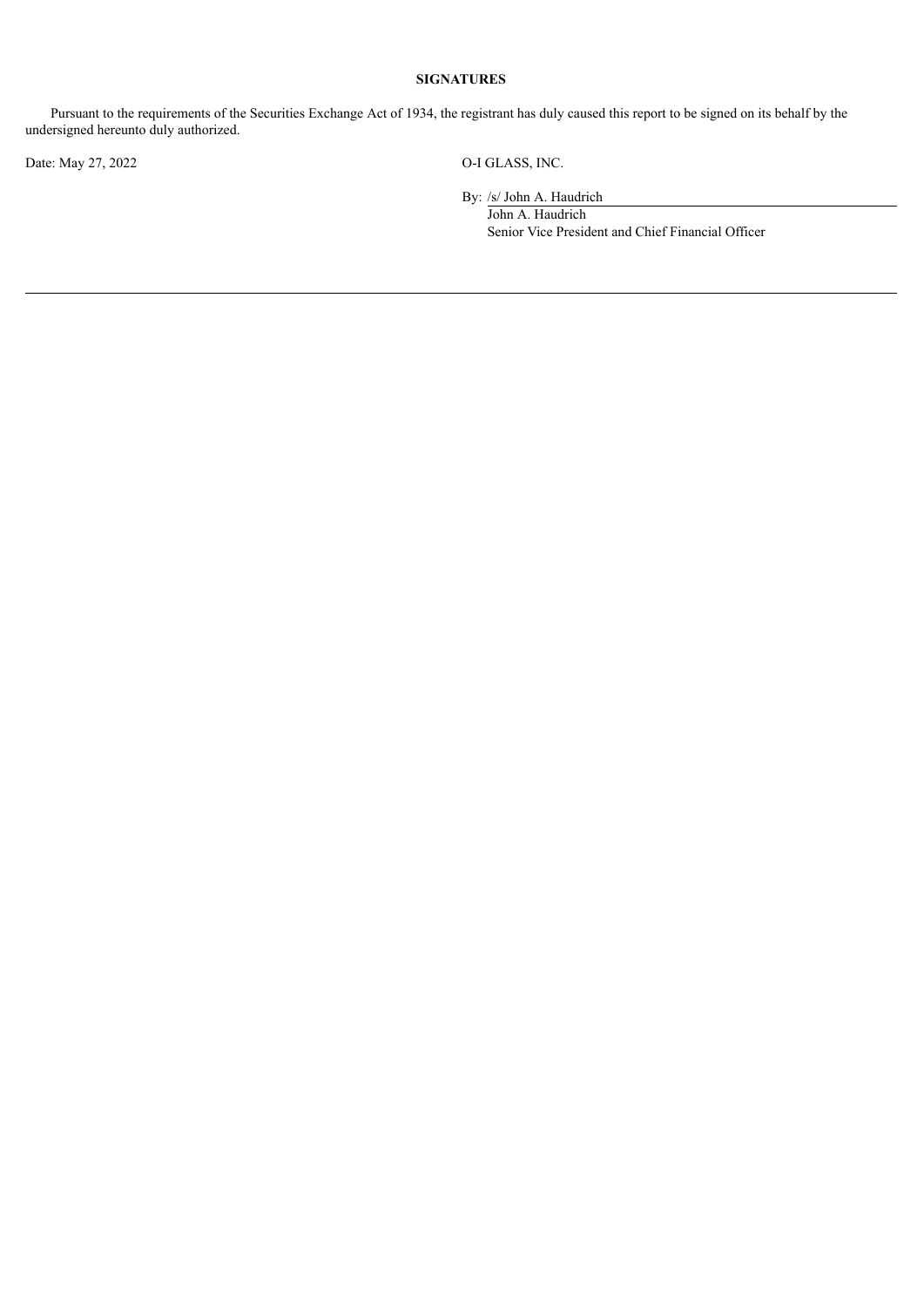## **SIGNATURES**

Pursuant to the requirements of the Securities Exchange Act of 1934, the registrant has duly caused this report to be signed on its behalf by the undersigned hereunto duly authorized.

Date: May 27, 2022 O-I GLASS, INC.

By: /s/ John A. Haudrich

John A. Haudrich Senior Vice President and Chief Financial Officer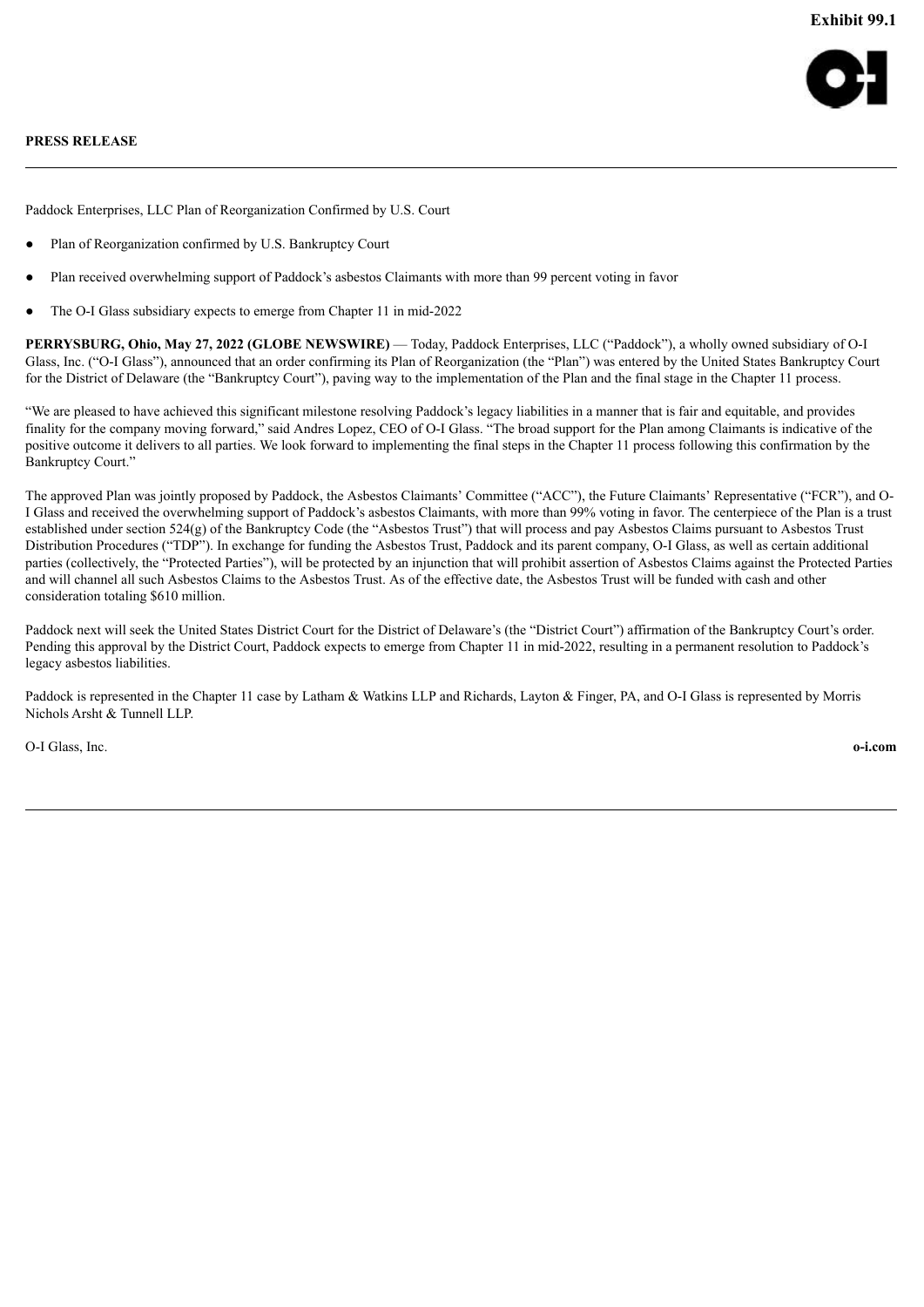

#### <span id="page-3-0"></span>**PRESS RELEASE**

Paddock Enterprises, LLC Plan of Reorganization Confirmed by U.S. Court

- Plan of Reorganization confirmed by U.S. Bankruptcy Court
- Plan received overwhelming support of Paddock's asbestos Claimants with more than 99 percent voting in favor
- The O-I Glass subsidiary expects to emerge from Chapter 11 in mid-2022

**PERRYSBURG, Ohio, May 27, 2022 (GLOBE NEWSWIRE)** — Today, Paddock Enterprises, LLC ("Paddock"), a wholly owned subsidiary of O-I Glass, Inc. ("O-I Glass"), announced that an order confirming its Plan of Reorganization (the "Plan") was entered by the United States Bankruptcy Court for the District of Delaware (the "Bankruptcy Court"), paving way to the implementation of the Plan and the final stage in the Chapter 11 process.

"We are pleased to have achieved this significant milestone resolving Paddock's legacy liabilities in a manner that is fair and equitable, and provides finality for the company moving forward," said Andres Lopez, CEO of O-I Glass. "The broad support for the Plan among Claimants is indicative of the positive outcome it delivers to all parties. We look forward to implementing the final steps in the Chapter 11 process following this confirmation by the Bankruptcy Court."

The approved Plan was jointly proposed by Paddock, the Asbestos Claimants' Committee ("ACC"), the Future Claimants' Representative ("FCR"), and O-I Glass and received the overwhelming support of Paddock's asbestos Claimants, with more than 99% voting in favor. The centerpiece of the Plan is a trust established under section 524(g) of the Bankruptcy Code (the "Asbestos Trust") that will process and pay Asbestos Claims pursuant to Asbestos Trust Distribution Procedures ("TDP"). In exchange for funding the Asbestos Trust, Paddock and its parent company, O-I Glass, as well as certain additional parties (collectively, the "Protected Parties"), will be protected by an injunction that will prohibit assertion of Asbestos Claims against the Protected Parties and will channel all such Asbestos Claims to the Asbestos Trust. As of the effective date, the Asbestos Trust will be funded with cash and other consideration totaling \$610 million.

Paddock next will seek the United States District Court for the District of Delaware's (the "District Court") affirmation of the Bankruptcy Court's order. Pending this approval by the District Court, Paddock expects to emerge from Chapter 11 in mid-2022, resulting in a permanent resolution to Paddock's legacy asbestos liabilities.

Paddock is represented in the Chapter 11 case by Latham & Watkins LLP and Richards, Layton & Finger, PA, and O-I Glass is represented by Morris Nichols Arsht & Tunnell LLP.

O-I Glass, Inc. **o-i.com**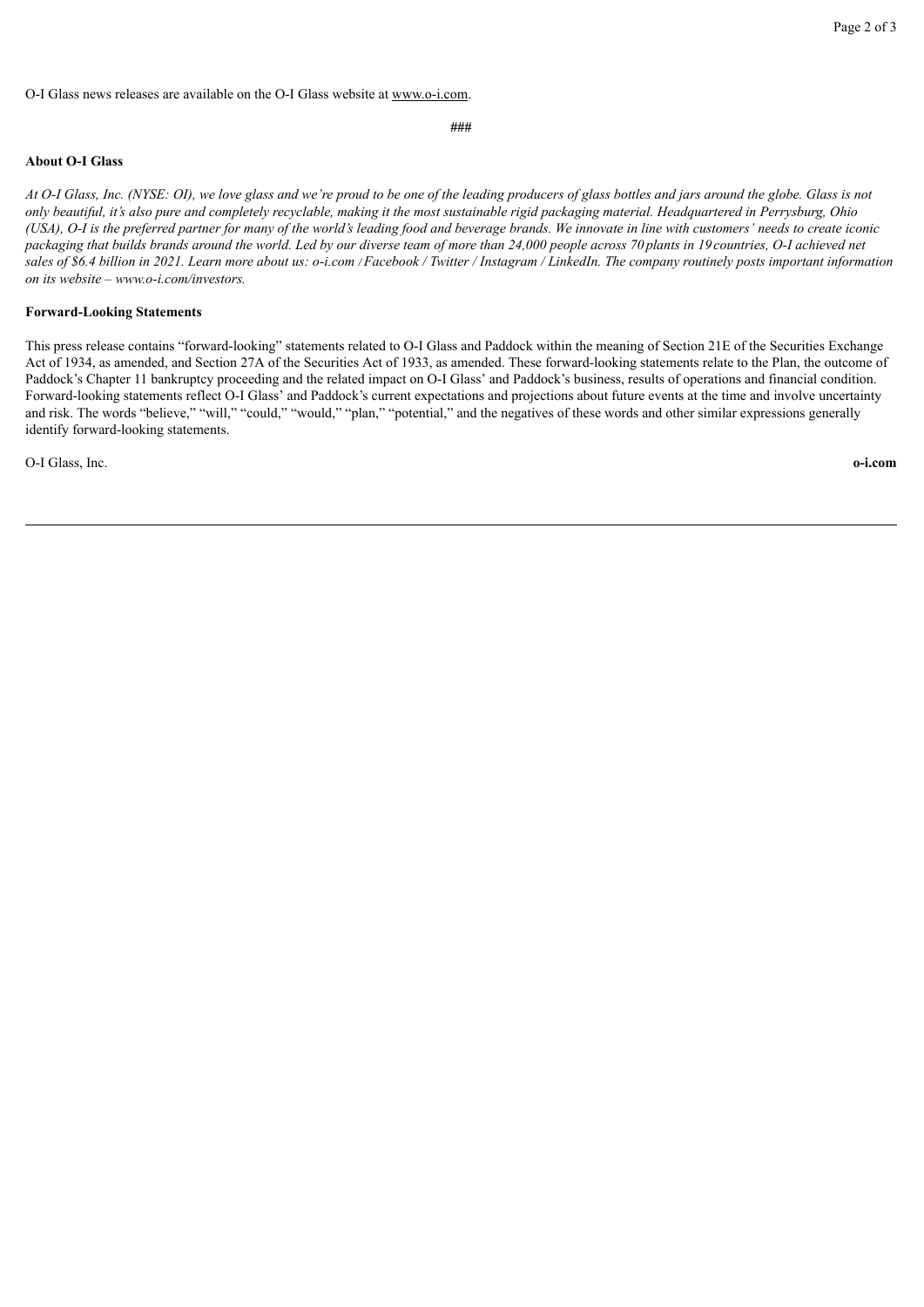#### O-I Glass news releases are available on the O-I Glass website at www.o-i.com.

**###**

### **About O-I Glass**

At O-I Glass, Inc. (NYSE: OI), we love glass and we're proud to be one of the leading producers of glass bottles and jars around the globe. Glass is not only beautiful, it's also pure and completely recyclable, making it the most sustainable rigid packaging material. Headquartered in Perrysburg, Ohio (USA), O-I is the preferred partner for many of the world's leading food and beverage brands. We innovate in line with customers' needs to create iconic packaging that builds brands around the world. Led by our diverse team of more than 24,000 people across 70 plants in 19 countries, O-I achieved net sales of \$6.4 billion in 2021. Learn more about us: o-i.com /Facebook / Twitter / Instagram / LinkedIn. The company routinely posts important information *on its website – www.o-i.com/investors.*

#### **Forward-Looking Statements**

This press release contains "forward-looking" statements related to O-I Glass and Paddock within the meaning of Section 21E of the Securities Exchange Act of 1934, as amended, and Section 27A of the Securities Act of 1933, as amended. These forward-looking statements relate to the Plan, the outcome of Paddock's Chapter 11 bankruptcy proceeding and the related impact on O-I Glass' and Paddock's business, results of operations and financial condition. Forward-looking statements reflect O-I Glass' and Paddock's current expectations and projections about future events at the time and involve uncertainty and risk. The words "believe," "will," "could," "would," "plan," "potential," and the negatives of these words and other similar expressions generally identify forward-looking statements.

O-I Glass, Inc. **o-i.com**